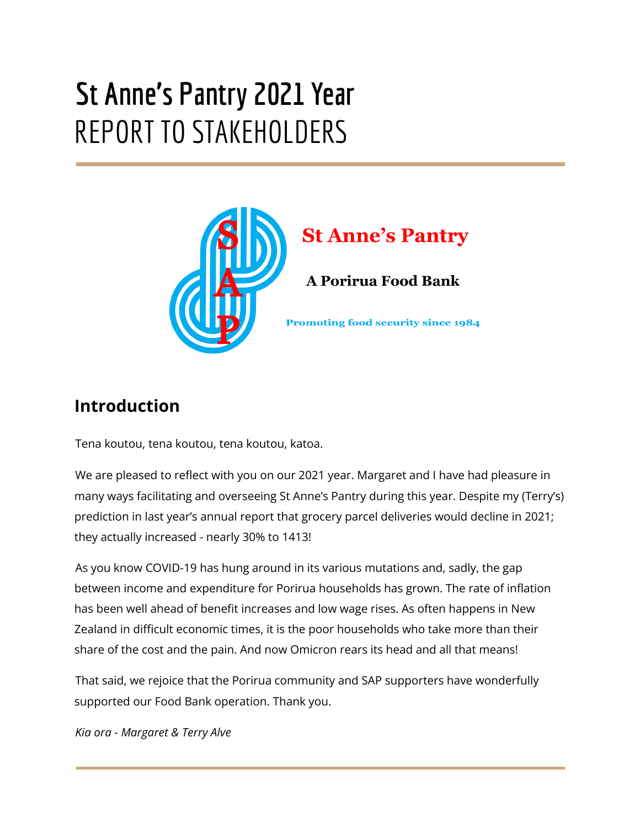# **St Anne's Pantry 2021 Year** REPORT TO STAKEHOLDERS



## **Introduction**

Tena koutou, tena koutou, tena koutou, katoa.

We are pleased to reflect with you on our 2021 year. Margaret and I have had pleasure in many ways facilitating and overseeing St Anne's Pantry during this year. Despite my (Terry's) prediction in last year's annual report that grocery parcel deliveries would decline in 2021; they actually increased - nearly 30% to 1413!

As you know COVID-19 has hung around in its various mutations and, sadly, the gap between income and expenditure for Porirua households has grown. The rate of inflation has been well ahead of benefit increases and low wage rises. As often happens in New Zealand in difficult economic times, it is the poor households who take more than their share of the cost and the pain. And now Omicron rears its head and all that means!

That said, we rejoice that the Porirua community and SAP supporters have wonderfully supported our Food Bank operation. Thank you.

*Kia ora - Margaret & Terry Alve*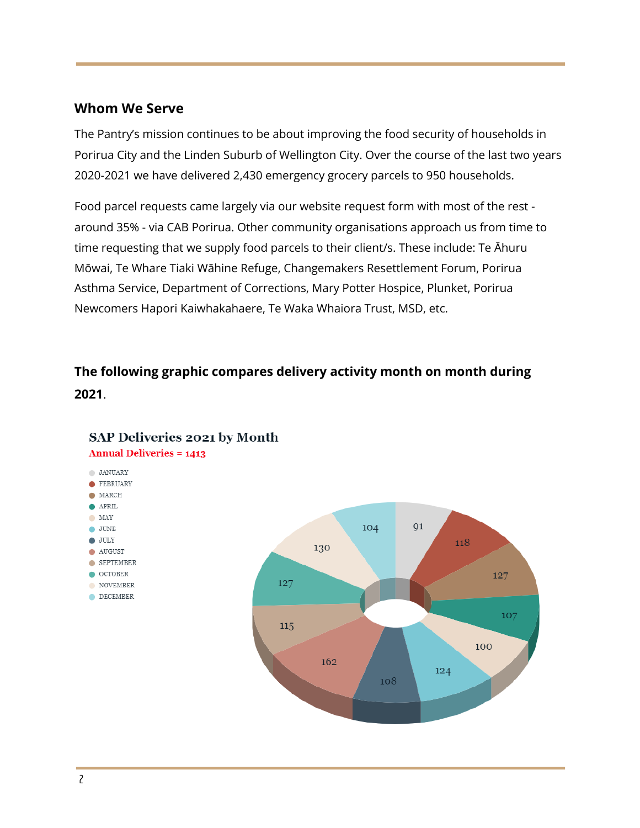#### **Whom We Serve**

The Pantry's mission continues to be about improving the food security of households in Porirua City and the Linden Suburb of Wellington City. Over the course of the last two years 2020-2021 we have delivered 2,430 emergency grocery parcels to 950 households.

Food parcel requests came largely via our website request form with most of the rest around 35% - via CAB Porirua. Other community organisations approach us from time to time requesting that we supply food parcels to their client/s. These include: Te Āhuru Mōwai, Te Whare Tiaki Wāhine Refuge, Changemakers Resettlement Forum, Porirua Asthma Service, Department of Corrections, Mary Potter Hospice, Plunket, Porirua Newcomers Hapori Kaiwhakahaere, Te Waka Whaiora Trust, MSD, etc.

## **The following graphic compares delivery activity month on month during 2021**.



#### SAP Deliveries 2021 by Month

**Annual Deliveries = 1413**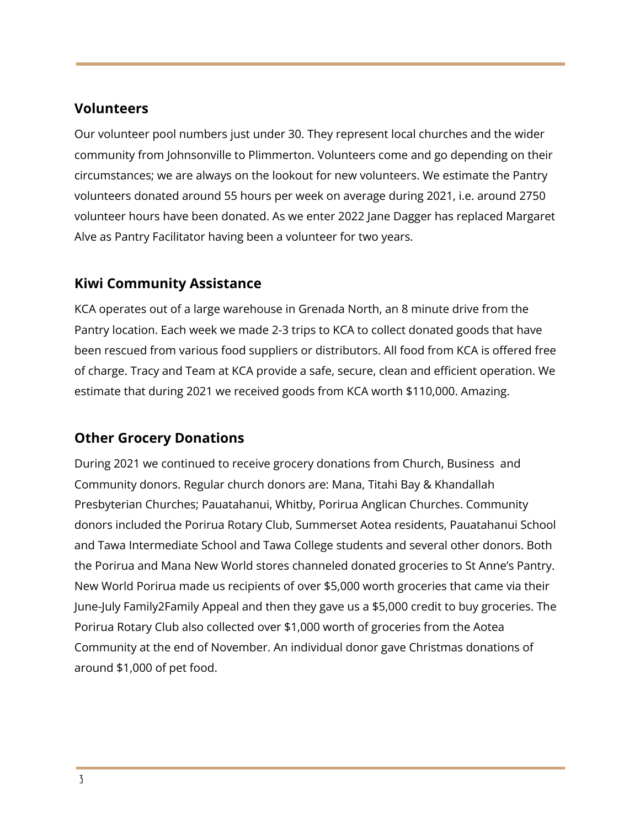#### **Volunteers**

Our volunteer pool numbers just under 30. They represent local churches and the wider community from Johnsonville to Plimmerton. Volunteers come and go depending on their circumstances; we are always on the lookout for new volunteers. We estimate the Pantry volunteers donated around 55 hours per week on average during 2021, i.e. around 2750 volunteer hours have been donated. As we enter 2022 Jane Dagger has replaced Margaret Alve as Pantry Facilitator having been a volunteer for two years.

#### **Kiwi Community Assistance**

KCA operates out of a large warehouse in Grenada North, an 8 minute drive from the Pantry location. Each week we made 2-3 trips to KCA to collect donated goods that have been rescued from various food suppliers or distributors. All food from KCA is offered free of charge. Tracy and Team at KCA provide a safe, secure, clean and efficient operation. We estimate that during 2021 we received goods from KCA worth \$110,000. Amazing.

#### **Other Grocery Donations**

During 2021 we continued to receive grocery donations from Church, Business and Community donors. Regular church donors are: Mana, Titahi Bay & Khandallah Presbyterian Churches; Pauatahanui, Whitby, Porirua Anglican Churches. Community donors included the Porirua Rotary Club, Summerset Aotea residents, Pauatahanui School and Tawa Intermediate School and Tawa College students and several other donors. Both the Porirua and Mana New World stores channeled donated groceries to St Anne's Pantry. New World Porirua made us recipients of over \$5,000 worth groceries that came via their June-July Family2Family Appeal and then they gave us a \$5,000 credit to buy groceries. The Porirua Rotary Club also collected over \$1,000 worth of groceries from the Aotea Community at the end of November. An individual donor gave Christmas donations of around \$1,000 of pet food.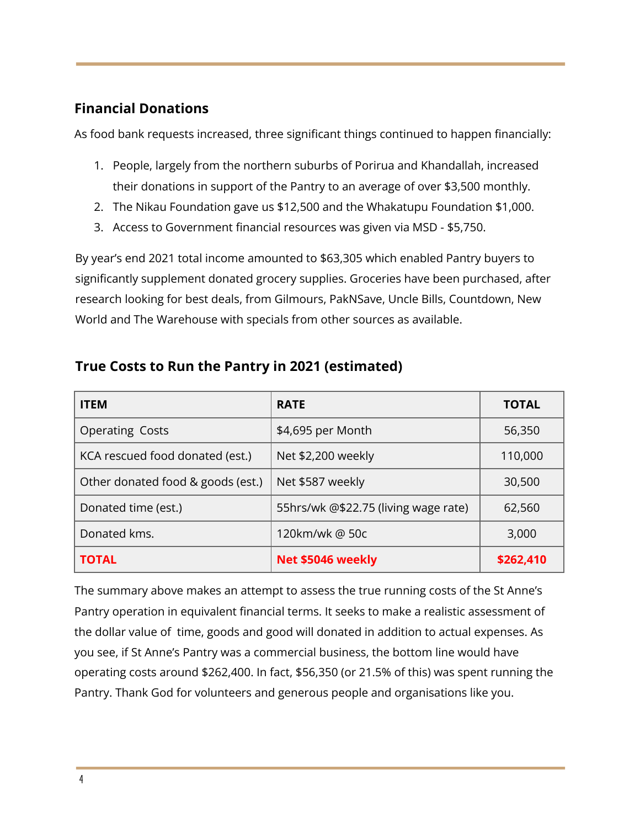### **Financial Donations**

As food bank requests increased, three significant things continued to happen financially:

- 1. People, largely from the northern suburbs of Porirua and Khandallah, increased their donations in support of the Pantry to an average of over \$3,500 monthly.
- 2. The Nikau Foundation gave us \$12,500 and the Whakatupu Foundation \$1,000.
- 3. Access to Government financial resources was given via MSD \$5,750.

By year's end 2021 total income amounted to \$63,305 which enabled Pantry buyers to significantly supplement donated grocery supplies. Groceries have been purchased, after research looking for best deals, from Gilmours, PakNSave, Uncle Bills, Countdown, New World and The Warehouse with specials from other sources as available.

| <b>ITEM</b>                       | <b>RATE</b>                          | <b>TOTAL</b> |
|-----------------------------------|--------------------------------------|--------------|
| <b>Operating Costs</b>            | \$4,695 per Month                    | 56,350       |
| KCA rescued food donated (est.)   | Net \$2,200 weekly                   | 110,000      |
| Other donated food & goods (est.) | Net \$587 weekly                     | 30,500       |
| Donated time (est.)               | 55hrs/wk @\$22.75 (living wage rate) | 62,560       |
| Donated kms.                      | 120km/wk@50c                         | 3,000        |
| <b>TOTAL</b>                      | Net \$5046 weekly                    | \$262,410    |

#### **True Costs to Run the Pantry in 2021 (estimated)**

The summary above makes an attempt to assess the true running costs of the St Anne's Pantry operation in equivalent financial terms. It seeks to make a realistic assessment of the dollar value of time, goods and good will donated in addition to actual expenses. As you see, if St Anne's Pantry was a commercial business, the bottom line would have operating costs around \$262,400. In fact, \$56,350 (or 21.5% of this) was spent running the Pantry. Thank God for volunteers and generous people and organisations like you.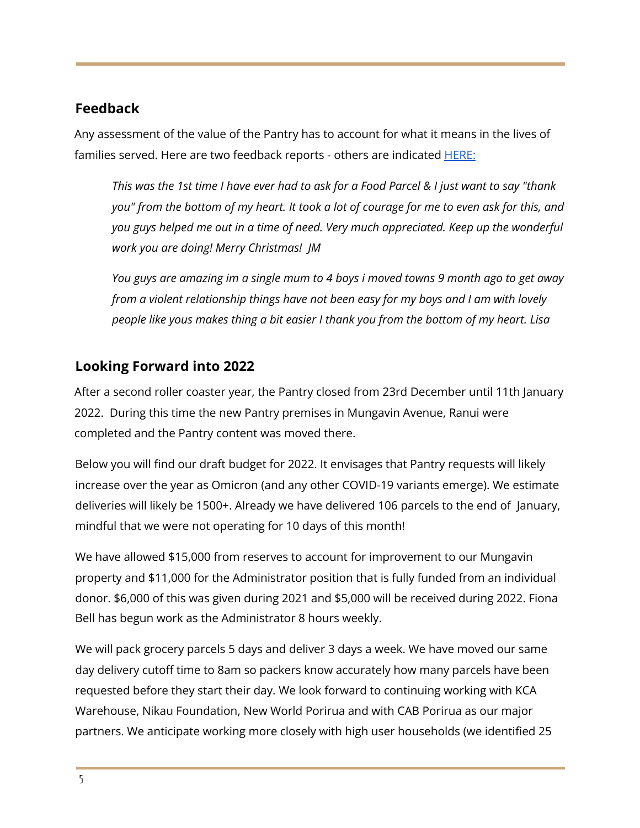### **Feedback**

Any assessment of the value of the Pantry has to account for what it means in the lives of families served. Here are two feedback reports - others are indicated **HERE**:

This was the 1st time I have ever had to ask for a Food Parcel & I just want to say "thank you" from the bottom of my heart. It took a lot of courage for me to even ask for this, and *you guys helped me out in a time of need. Very much appreciated. Keep up the wonderful work you are doing! Merry Christmas! JM*

*You guys are amazing im a single mum to 4 boys i moved towns 9 month ago to get away from a violent relationship things have not been easy for my boys and I am with lovely people like yous makes thing a bit easier I thank you from the bottom of my heart. Lisa*

### **Looking Forward into 2022**

After a second roller coaster year, the Pantry closed from 23rd December until 11th January 2022. During this time the new Pantry premises in Mungavin Avenue, Ranui were completed and the Pantry content was moved there.

Below you will find our draft budget for 2022. It envisages that Pantry requests will likely increase over the year as Omicron (and any other COVID-19 variants emerge). We estimate deliveries will likely be 1500+. Already we have delivered 106 parcels to the end of January, mindful that we were not operating for 10 days of this month!

We have allowed \$15,000 from reserves to account for improvement to our Mungavin property and \$11,000 for the Administrator position that is fully funded from an individual donor. \$6,000 of this was given during 2021 and \$5,000 will be received during 2022. Fiona Bell has begun work as the Administrator 8 hours weekly.

We will pack grocery parcels 5 days and deliver 3 days a week. We have moved our same day delivery cutoff time to 8am so packers know accurately how many parcels have been requested before they start their day. We look forward to continuing working with KCA Warehouse, Nikau Foundation, New World Porirua and with CAB Porirua as our major partners. We anticipate working more closely with high user households (we identified 25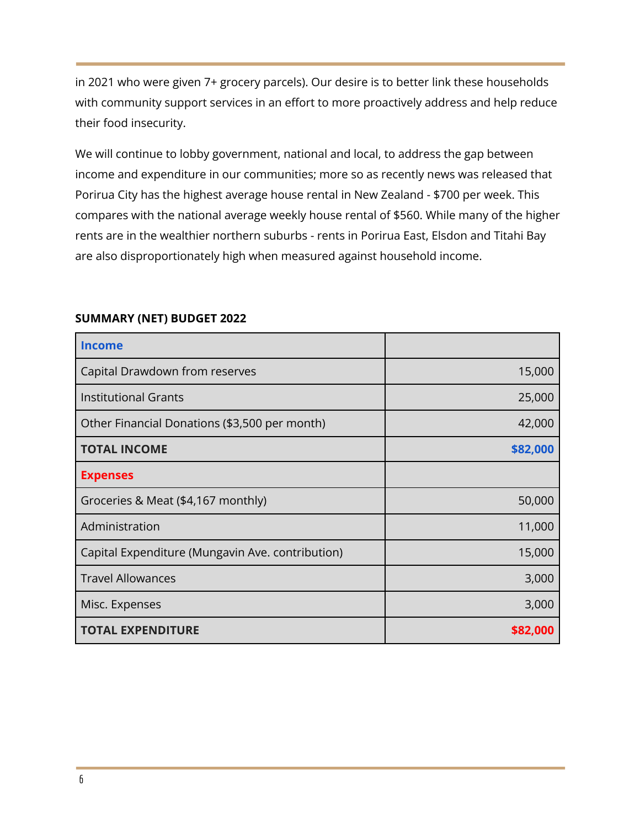in 2021 who were given 7+ grocery parcels). Our desire is to better link these households with community support services in an effort to more proactively address and help reduce their food insecurity.

We will continue to lobby government, national and local, to address the gap between income and expenditure in our communities; more so as recently news was released that Porirua City has the highest average house rental in New Zealand - \$700 per week. This compares with the national average weekly house rental of \$560. While many of the higher rents are in the wealthier northern suburbs - rents in Porirua East, Elsdon and Titahi Bay are also disproportionately high when measured against household income.

| <b>Income</b>                                    |          |
|--------------------------------------------------|----------|
| Capital Drawdown from reserves                   | 15,000   |
| <b>Institutional Grants</b>                      | 25,000   |
| Other Financial Donations (\$3,500 per month)    | 42,000   |
| <b>TOTAL INCOME</b>                              | \$82,000 |
| <b>Expenses</b>                                  |          |
| Groceries & Meat (\$4,167 monthly)               | 50,000   |
| Administration                                   | 11,000   |
| Capital Expenditure (Mungavin Ave. contribution) | 15,000   |
| <b>Travel Allowances</b>                         | 3,000    |
| Misc. Expenses                                   | 3,000    |
| <b>TOTAL EXPENDITURE</b>                         | \$82,000 |

#### **SUMMARY (NET) BUDGET 2022**